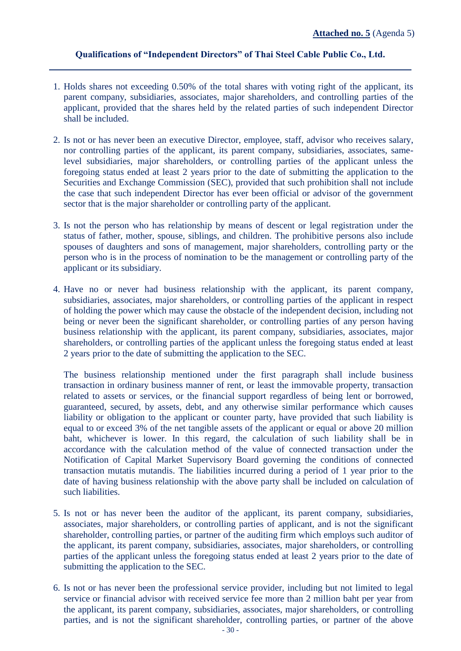## **Qualifications of "Independent Directors" of Thai Steel Cable Public Co., Ltd.**

- 1. Holds shares not exceeding 0.50% of the total shares with voting right of the applicant, its parent company, subsidiaries, associates, major shareholders, and controlling parties of the applicant, provided that the shares held by the related parties of such independent Director shall be included.
- 2. Is not or has never been an executive Director, employee, staff, advisor who receives salary, nor controlling parties of the applicant, its parent company, subsidiaries, associates, samelevel subsidiaries, major shareholders, or controlling parties of the applicant unless the foregoing status ended at least 2 years prior to the date of submitting the application to the Securities and Exchange Commission (SEC), provided that such prohibition shall not include the case that such independent Director has ever been official or advisor of the government sector that is the major shareholder or controlling party of the applicant.
- 3. Is not the person who has relationship by means of descent or legal registration under the status of father, mother, spouse, siblings, and children. The prohibitive persons also include spouses of daughters and sons of management, major shareholders, controlling party or the person who is in the process of nomination to be the management or controlling party of the applicant or its subsidiary.
- 4. Have no or never had business relationship with the applicant, its parent company, subsidiaries, associates, major shareholders, or controlling parties of the applicant in respect of holding the power which may cause the obstacle of the independent decision, including not being or never been the significant shareholder, or controlling parties of any person having business relationship with the applicant, its parent company, subsidiaries, associates, major shareholders, or controlling parties of the applicant unless the foregoing status ended at least 2 years prior to the date of submitting the application to the SEC.

The business relationship mentioned under the first paragraph shall include business transaction in ordinary business manner of rent, or least the immovable property, transaction related to assets or services, or the financial support regardless of being lent or borrowed, guaranteed, secured, by assets, debt, and any otherwise similar performance which causes liability or obligation to the applicant or counter party, have provided that such liability is equal to or exceed 3% of the net tangible assets of the applicant or equal or above 20 million baht, whichever is lower. In this regard, the calculation of such liability shall be in accordance with the calculation method of the value of connected transaction under the Notification of Capital Market Supervisory Board governing the conditions of connected transaction mutatis mutandis. The liabilities incurred during a period of 1 year prior to the date of having business relationship with the above party shall be included on calculation of such liabilities.

- 5. Is not or has never been the auditor of the applicant, its parent company, subsidiaries, associates, major shareholders, or controlling parties of applicant, and is not the significant shareholder, controlling parties, or partner of the auditing firm which employs such auditor of the applicant, its parent company, subsidiaries, associates, major shareholders, or controlling parties of the applicant unless the foregoing status ended at least 2 years prior to the date of submitting the application to the SEC.
- 6. Is not or has never been the professional service provider, including but not limited to legal service or financial advisor with received service fee more than 2 million baht per year from the applicant, its parent company, subsidiaries, associates, major shareholders, or controlling parties, and is not the significant shareholder, controlling parties, or partner of the above